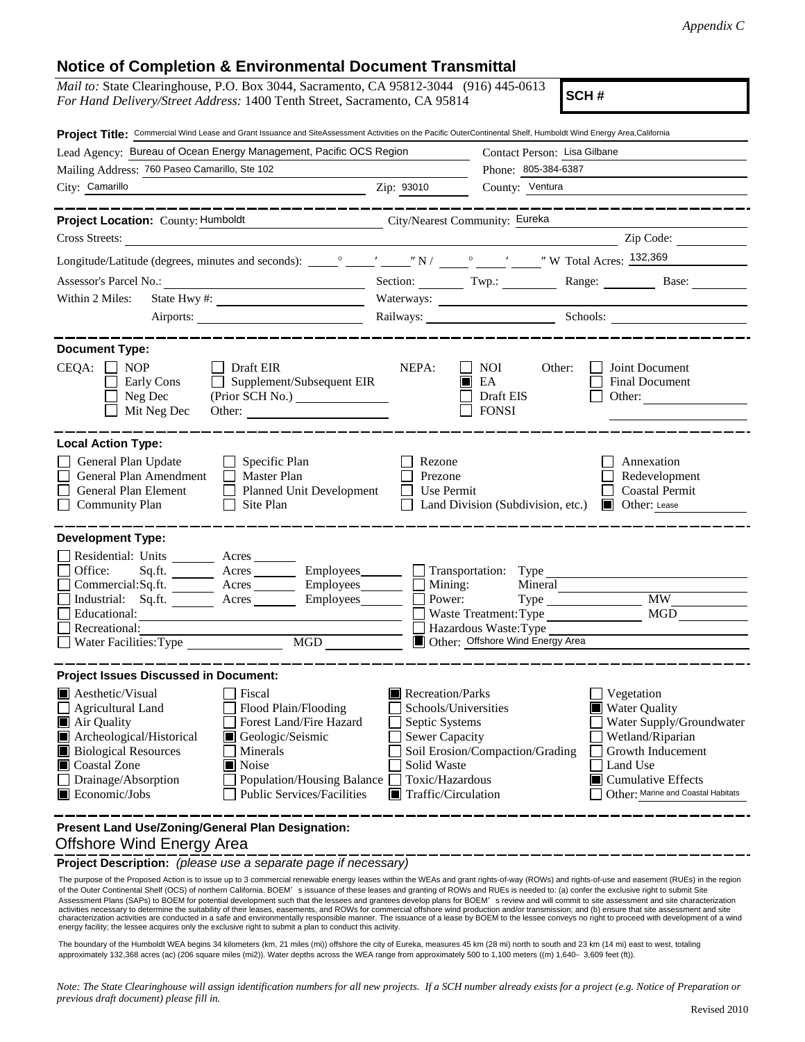## **Notice of Completion & Environmental Document Transmittal**

| <b>NUME OF COMPLEMON &amp; LINGUILLEMA DUCUMENT HANSIMIA</b>                                                                                                                                                                                                                                                                                                                  |                                                                                                                                                                                                                                                                                                                                                                                 |  |
|-------------------------------------------------------------------------------------------------------------------------------------------------------------------------------------------------------------------------------------------------------------------------------------------------------------------------------------------------------------------------------|---------------------------------------------------------------------------------------------------------------------------------------------------------------------------------------------------------------------------------------------------------------------------------------------------------------------------------------------------------------------------------|--|
| <i>Mail to:</i> State Clearinghouse, P.O. Box 3044, Sacramento, CA 95812-3044 (916) 445-0613<br>SCH#<br>For Hand Delivery/Street Address: 1400 Tenth Street, Sacramento, CA 95814                                                                                                                                                                                             |                                                                                                                                                                                                                                                                                                                                                                                 |  |
| Project Title: Commercial Wind Lease and Grant Issuance and SiteAssessment Activities on the Pacific OuterContinental Shelf, Humboldt Wind Energy Area,California                                                                                                                                                                                                             |                                                                                                                                                                                                                                                                                                                                                                                 |  |
| Lead Agency: Bureau of Ocean Energy Management, Pacific OCS Region                                                                                                                                                                                                                                                                                                            | Contact Person: Lisa Gilbane                                                                                                                                                                                                                                                                                                                                                    |  |
| Mailing Address: 760 Paseo Camarillo, Ste 102                                                                                                                                                                                                                                                                                                                                 | Phone: 805-384-6387                                                                                                                                                                                                                                                                                                                                                             |  |
| City: Camarillo<br><b>Example 2018</b> 2ip: 93010                                                                                                                                                                                                                                                                                                                             | County: Ventura                                                                                                                                                                                                                                                                                                                                                                 |  |
| _________________<br>Project Location: County: Humboldt City/Nearest Community: Eureka                                                                                                                                                                                                                                                                                        |                                                                                                                                                                                                                                                                                                                                                                                 |  |
| Cross Streets:                                                                                                                                                                                                                                                                                                                                                                | Zip Code:                                                                                                                                                                                                                                                                                                                                                                       |  |
|                                                                                                                                                                                                                                                                                                                                                                               |                                                                                                                                                                                                                                                                                                                                                                                 |  |
|                                                                                                                                                                                                                                                                                                                                                                               |                                                                                                                                                                                                                                                                                                                                                                                 |  |
|                                                                                                                                                                                                                                                                                                                                                                               | Range: Base:<br>Section: $Twp:$                                                                                                                                                                                                                                                                                                                                                 |  |
| Within 2 Miles:                                                                                                                                                                                                                                                                                                                                                               |                                                                                                                                                                                                                                                                                                                                                                                 |  |
|                                                                                                                                                                                                                                                                                                                                                                               | Railways: Schools: Schools:                                                                                                                                                                                                                                                                                                                                                     |  |
| <b>Document Type:</b><br>$CEQA: \Box NOP$<br>Draft EIR<br>$\Box$ Supplement/Subsequent EIR<br>Early Cons<br>(Prior SCH No.)<br>Neg Dec<br>Mit Neg Dec                                                                                                                                                                                                                         | NEPA:<br>NOI NOI<br>Other:<br>$\Box$ Joint Document<br>$\blacksquare$ EA<br>Final Document<br>Draft EIS<br>Other:<br><b>FONSI</b>                                                                                                                                                                                                                                               |  |
| <b>Local Action Type:</b><br>General Plan Update<br>$\Box$ Specific Plan<br>$\Box$ Master Plan<br>General Plan Amendment<br>General Plan Element<br>Planned Unit Development<br><b>Community Plan</b><br>Site Plan                                                                                                                                                            | Rezone<br>Annexation<br>Prezone<br>Redevelopment<br>Use Permit<br><b>Coastal Permit</b><br>Land Division (Subdivision, etc.)<br>Other: Lease                                                                                                                                                                                                                                    |  |
| <b>Development Type:</b>                                                                                                                                                                                                                                                                                                                                                      |                                                                                                                                                                                                                                                                                                                                                                                 |  |
| Residential: Units _________ Acres _______<br>Sq.ft. __________ Acres ___________ Employees__________ ____] Transportation: Type<br>Office:<br>Commercial:Sq.ft. Acres Employees<br>Industrial: Sq.ft. _______ Acres ________ Employees _______ $\square$<br>Educational:<br>Recreational:<br>MGD<br>Water Facilities: Type                                                   | Mining:<br>Mineral<br>Type MW MW<br>Power:<br>MGD<br>Waste Treatment: Type<br>Hazardous Waste: Type<br>Other: Offshore Wind Energy Area                                                                                                                                                                                                                                         |  |
| <b>Project Issues Discussed in Document:</b>                                                                                                                                                                                                                                                                                                                                  |                                                                                                                                                                                                                                                                                                                                                                                 |  |
| $\blacksquare$ Aesthetic/Visual<br>Fiscal<br><b>Agricultural Land</b><br>Flood Plain/Flooding<br>Forest Land/Fire Hazard<br>Air Quality<br>Archeological/Historical<br>Geologic/Seismic<br><b>Biological Resources</b><br>Minerals<br>Coastal Zone<br>Noise<br>Drainage/Absorption<br><b>Population/Housing Balance</b><br>Economic/Jobs<br><b>Public Services/Facilities</b> | Recreation/Parks<br>Vegetation<br>Schools/Universities<br><b>Water Quality</b><br>Septic Systems<br>Water Supply/Groundwater<br><b>Sewer Capacity</b><br>Wetland/Riparian<br>Soil Erosion/Compaction/Grading<br>Growth Inducement<br>Solid Waste<br>Land Use<br>Toxic/Hazardous<br><b>Cumulative Effects</b><br>Other: Marine and Coastal Habitats<br>Traffic/Circulation<br>LШ |  |
| Present Land Use/Zoning/General Plan Designation:                                                                                                                                                                                                                                                                                                                             |                                                                                                                                                                                                                                                                                                                                                                                 |  |

## Offshore Wind Energy Area

**Project Description:** *(please use a separate page if necessary)*

The purpose of the Proposed Action is to issue up to 3 commercial renewable energy leases within the WEAs and grant rights-of-way (ROWs) and rights-of-use and easement (RUEs) in the region of the rights-of-use and easemen of the Outer Continental Shelf (OCS) of northern California. BOEM's issuance of these leases and granting of ROWs and RUEs is needed to: (a) confer the exclusive right to submit Site Assessment Plans (SAPs) to BOEM for potential development such that the lessees and grantees develop plans for BOEM's review and will commit to site assessment and site characterization activities necessary to determine the suitability of their leases, easements, and ROWs for commercial offshore wind production and/or transmission; and (b) ensure that site assessment and site<br>characterization activities a energy facility; the lessee acquires only the exclusive right to submit a plan to conduct this activity.

The boundary of the Humboldt WEA begins 34 kilometers (km, 21 miles (mi)) offshore the city of Eureka, measures 45 km (28 mi) north to south and 23 km (14 mi) east to west, totaling approximately 132,368 acres (ac) (206 square miles (mi2)). Water depths across the WEA range from approximately 500 to 1,100 meters ((m) 1,640–3,609 feet (ft)).

*Note: The State Clearinghouse will assign identification numbers for all new projects. If a SCH number already exists for a project (e.g. Notice of Preparation or previous draft document) please fill in.*